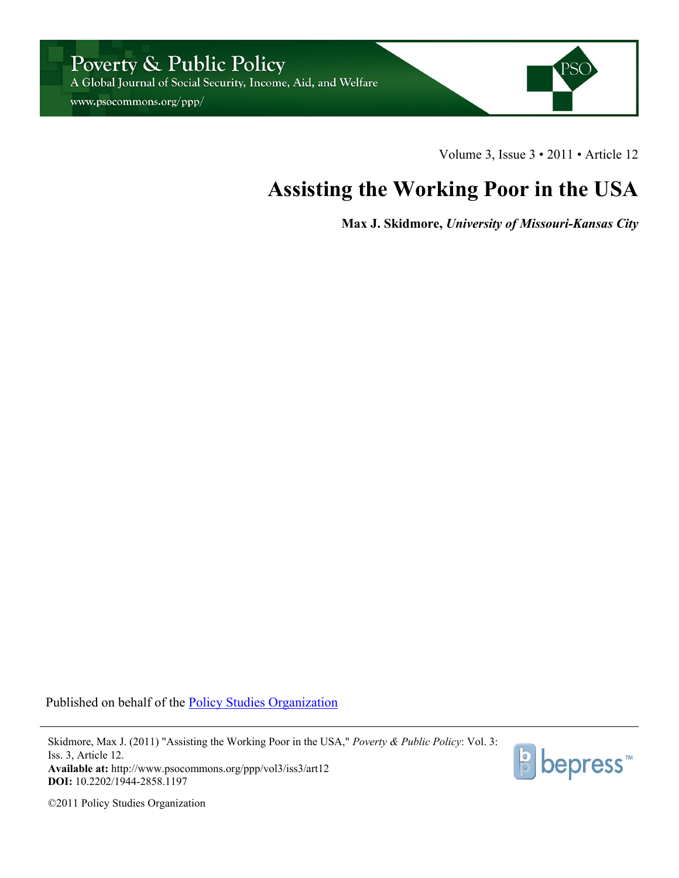

www.psocommons.org/ppp/



Volume 3, Issue 3 • 2011 • Article 12

## **Assisting the Working Poor in the USA**

**Max J. Skidmore,** *University of Missouri-Kansas City*

Published on behalf of the [Policy Studies Organization](http://www.ipsonet.org)

Skidmore, Max J. (2011) "Assisting the Working Poor in the USA," *Poverty & Public Policy*: Vol. 3: Iss. 3, Article 12. **Available at:** http://www.psocommons.org/ppp/vol3/iss3/art12 **DOI:** 10.2202/1944-2858.1197



©2011 Policy Studies Organization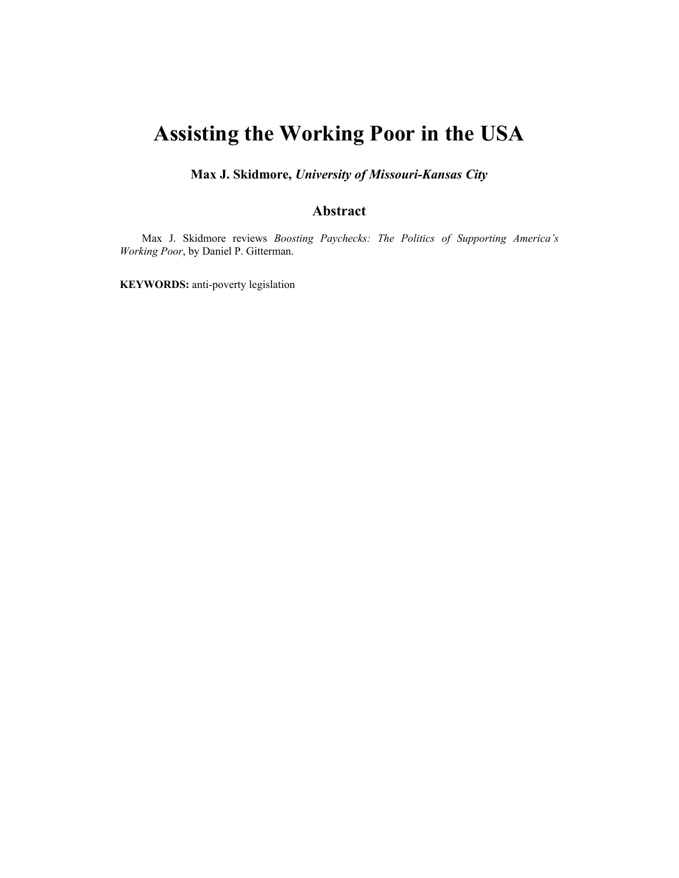## **Assisting the Working Poor in the USA**

**Max J. Skidmore,** *University of Missouri-Kansas City*

## **Abstract**

Max J. Skidmore reviews *Boosting Paychecks: The Politics of Supporting America's Working Poor*, by Daniel P. Gitterman.

**KEYWORDS:** anti-poverty legislation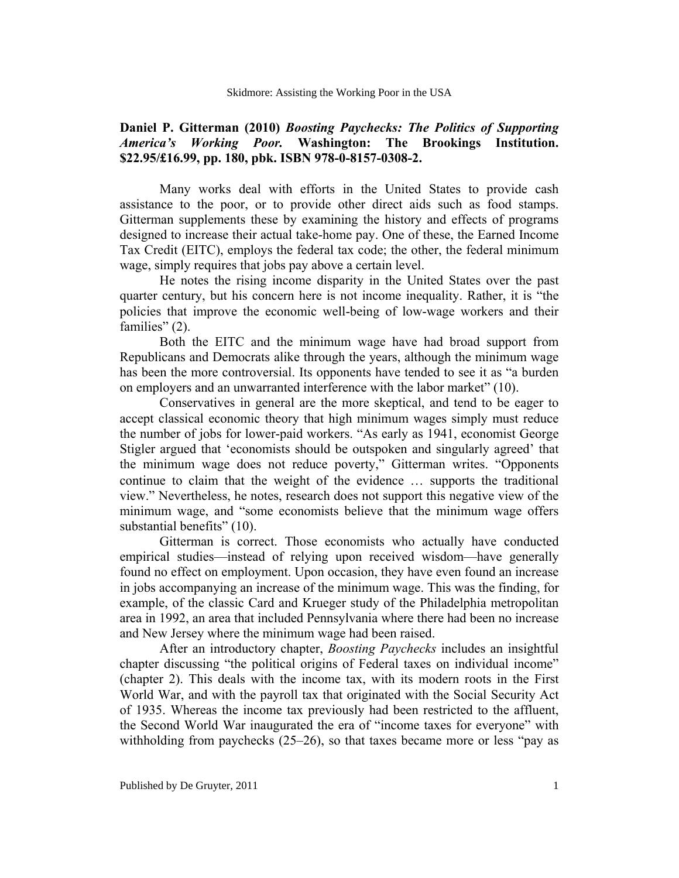## **Daniel P. Gitterman (2010)** *Boosting Paychecks: The Politics of Supporting America's Working Poor.* **Washington: The Brookings Institution. \$22.95/£16.99, pp. 180, pbk. ISBN 978-0-8157-0308-2.**

Many works deal with efforts in the United States to provide cash assistance to the poor, or to provide other direct aids such as food stamps. Gitterman supplements these by examining the history and effects of programs designed to increase their actual take-home pay. One of these, the Earned Income Tax Credit (EITC), employs the federal tax code; the other, the federal minimum wage, simply requires that jobs pay above a certain level.

He notes the rising income disparity in the United States over the past quarter century, but his concern here is not income inequality. Rather, it is "the policies that improve the economic well-being of low-wage workers and their families" (2).

Both the EITC and the minimum wage have had broad support from Republicans and Democrats alike through the years, although the minimum wage has been the more controversial. Its opponents have tended to see it as "a burden on employers and an unwarranted interference with the labor market" (10).

Conservatives in general are the more skeptical, and tend to be eager to accept classical economic theory that high minimum wages simply must reduce the number of jobs for lower-paid workers. "As early as 1941, economist George Stigler argued that 'economists should be outspoken and singularly agreed' that the minimum wage does not reduce poverty," Gitterman writes. "Opponents continue to claim that the weight of the evidence … supports the traditional view." Nevertheless, he notes, research does not support this negative view of the minimum wage, and "some economists believe that the minimum wage offers substantial benefits" (10).

Gitterman is correct. Those economists who actually have conducted empirical studies—instead of relying upon received wisdom—have generally found no effect on employment. Upon occasion, they have even found an increase in jobs accompanying an increase of the minimum wage. This was the finding, for example, of the classic Card and Krueger study of the Philadelphia metropolitan area in 1992, an area that included Pennsylvania where there had been no increase and New Jersey where the minimum wage had been raised.

After an introductory chapter, *Boosting Paychecks* includes an insightful chapter discussing "the political origins of Federal taxes on individual income" (chapter 2). This deals with the income tax, with its modern roots in the First World War, and with the payroll tax that originated with the Social Security Act of 1935. Whereas the income tax previously had been restricted to the affluent, the Second World War inaugurated the era of "income taxes for everyone" with withholding from paychecks (25–26), so that taxes became more or less "pay as